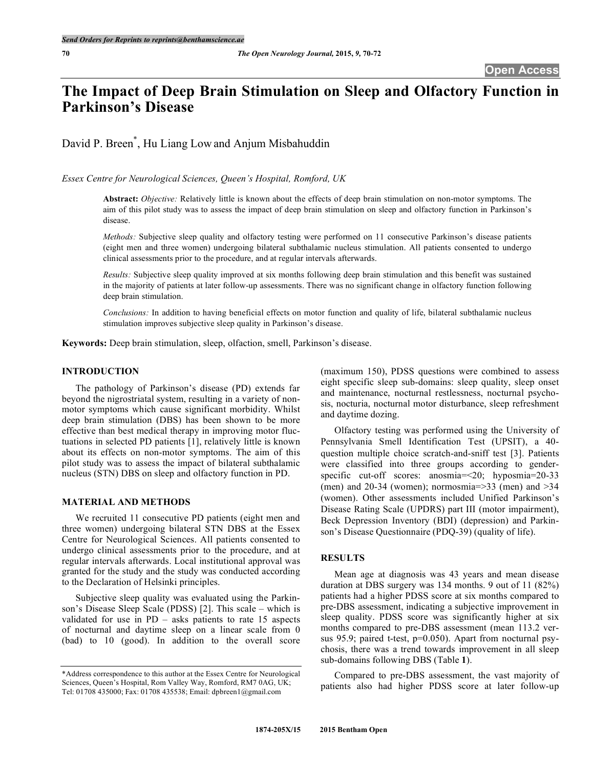# **The Impact of Deep Brain Stimulation on Sleep and Olfactory Function in Parkinson's Disease**

David P. Breen\* , Hu Liang Low and Anjum Misbahuddin

*Essex Centre for Neurological Sciences, Queen's Hospital, Romford, UK*

**Abstract:** *Objective:* Relatively little is known about the effects of deep brain stimulation on non-motor symptoms. The aim of this pilot study was to assess the impact of deep brain stimulation on sleep and olfactory function in Parkinson's disease.

*Methods:* Subjective sleep quality and olfactory testing were performed on 11 consecutive Parkinson's disease patients (eight men and three women) undergoing bilateral subthalamic nucleus stimulation. All patients consented to undergo clinical assessments prior to the procedure, and at regular intervals afterwards.

*Results:* Subjective sleep quality improved at six months following deep brain stimulation and this benefit was sustained in the majority of patients at later follow-up assessments. There was no significant change in olfactory function following deep brain stimulation.

*Conclusions:* In addition to having beneficial effects on motor function and quality of life, bilateral subthalamic nucleus stimulation improves subjective sleep quality in Parkinson's disease.

**Keywords:** Deep brain stimulation, sleep, olfaction, smell, Parkinson's disease.

## **INTRODUCTION**

The pathology of Parkinson's disease (PD) extends far beyond the nigrostriatal system, resulting in a variety of nonmotor symptoms which cause significant morbidity. Whilst deep brain stimulation (DBS) has been shown to be more effective than best medical therapy in improving motor fluctuations in selected PD patients [1], relatively little is known about its effects on non-motor symptoms. The aim of this pilot study was to assess the impact of bilateral subthalamic nucleus (STN) DBS on sleep and olfactory function in PD.

#### **MATERIAL AND METHODS**

We recruited 11 consecutive PD patients (eight men and three women) undergoing bilateral STN DBS at the Essex Centre for Neurological Sciences. All patients consented to undergo clinical assessments prior to the procedure, and at regular intervals afterwards. Local institutional approval was granted for the study and the study was conducted according to the Declaration of Helsinki principles.

Subjective sleep quality was evaluated using the Parkinson's Disease Sleep Scale (PDSS) [2]. This scale – which is validated for use in PD – asks patients to rate 15 aspects of nocturnal and daytime sleep on a linear scale from 0 (bad) to 10 (good). In addition to the overall score (maximum 150), PDSS questions were combined to assess eight specific sleep sub-domains: sleep quality, sleep onset and maintenance, nocturnal restlessness, nocturnal psychosis, nocturia, nocturnal motor disturbance, sleep refreshment and daytime dozing.

Olfactory testing was performed using the University of Pennsylvania Smell Identification Test (UPSIT), a 40 question multiple choice scratch-and-sniff test [3]. Patients were classified into three groups according to genderspecific cut-off scores: anosmia=<20; hyposmia=20-33 (men) and 20-34 (women); normosmia= $>33$  (men) and  $>34$ (women). Other assessments included Unified Parkinson's Disease Rating Scale (UPDRS) part III (motor impairment), Beck Depression Inventory (BDI) (depression) and Parkinson's Disease Questionnaire (PDQ-39) (quality of life).

#### **RESULTS**

Mean age at diagnosis was 43 years and mean disease duration at DBS surgery was 134 months. 9 out of 11 (82%) patients had a higher PDSS score at six months compared to pre-DBS assessment, indicating a subjective improvement in sleep quality. PDSS score was significantly higher at six months compared to pre-DBS assessment (mean 113.2 versus 95.9; paired t-test, p=0.050). Apart from nocturnal psychosis, there was a trend towards improvement in all sleep sub-domains following DBS (Table **1**).

Compared to pre-DBS assessment, the vast majority of patients also had higher PDSS score at later follow-up

<sup>\*</sup>Address correspondence to this author at the Essex Centre for Neurological Sciences, Queen's Hospital, Rom Valley Way, Romford, RM7 0AG, UK; Tel: 01708 435000; Fax: 01708 435538; Email: dpbreen1@gmail.com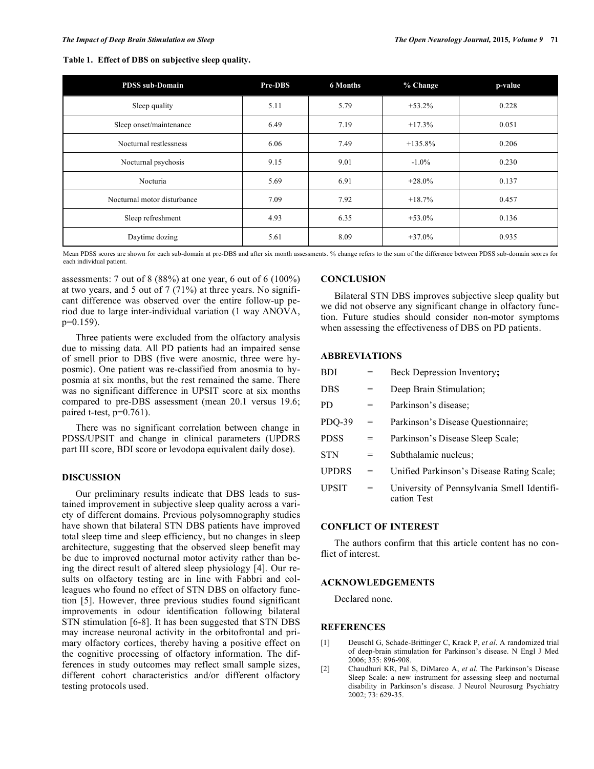**Table 1. Effect of DBS on subjective sleep quality.**

| <b>PDSS</b> sub-Domain      | Pre-DBS | <b>6 Months</b> | % Change   | p-value |
|-----------------------------|---------|-----------------|------------|---------|
| Sleep quality               | 5.11    | 5.79            | $+53.2%$   | 0.228   |
| Sleep onset/maintenance     | 6.49    | 7.19            | $+17.3%$   | 0.051   |
| Nocturnal restlessness      | 6.06    | 7.49            | $+135.8\%$ | 0.206   |
| Nocturnal psychosis         | 9.15    | 9.01            | $-1.0\%$   | 0.230   |
| Nocturia                    | 5.69    | 6.91            | $+28.0%$   | 0.137   |
| Nocturnal motor disturbance | 7.09    | 7.92            | $+18.7%$   | 0.457   |
| Sleep refreshment           | 4.93    | 6.35            | $+53.0%$   | 0.136   |
| Daytime dozing              | 5.61    | 8.09            | $+37.0%$   | 0.935   |

Mean PDSS scores are shown for each sub-domain at pre-DBS and after six month assessments. % change refers to the sum of the difference between PDSS sub-domain scores for each individual patient.

assessments: 7 out of 8 (88%) at one year, 6 out of 6 (100%) at two years, and 5 out of 7 (71%) at three years. No significant difference was observed over the entire follow-up period due to large inter-individual variation (1 way ANOVA, p=0.159).

Three patients were excluded from the olfactory analysis due to missing data. All PD patients had an impaired sense of smell prior to DBS (five were anosmic, three were hyposmic). One patient was re-classified from anosmia to hyposmia at six months, but the rest remained the same. There was no significant difference in UPSIT score at six months compared to pre-DBS assessment (mean 20.1 versus 19.6; paired t-test,  $p=0.761$ ).

There was no significant correlation between change in PDSS/UPSIT and change in clinical parameters (UPDRS part III score, BDI score or levodopa equivalent daily dose).

# **DISCUSSION**

Our preliminary results indicate that DBS leads to sustained improvement in subjective sleep quality across a variety of different domains. Previous polysomnography studies have shown that bilateral STN DBS patients have improved total sleep time and sleep efficiency, but no changes in sleep architecture, suggesting that the observed sleep benefit may be due to improved nocturnal motor activity rather than being the direct result of altered sleep physiology [4]. Our results on olfactory testing are in line with Fabbri and colleagues who found no effect of STN DBS on olfactory function [5]. However, three previous studies found significant improvements in odour identification following bilateral STN stimulation [6-8]. It has been suggested that STN DBS may increase neuronal activity in the orbitofrontal and primary olfactory cortices, thereby having a positive effect on the cognitive processing of olfactory information. The differences in study outcomes may reflect small sample sizes, different cohort characteristics and/or different olfactory testing protocols used.

## **CONCLUSION**

Bilateral STN DBS improves subjective sleep quality but we did not observe any significant change in olfactory function. Future studies should consider non-motor symptoms when assessing the effectiveness of DBS on PD patients.

#### **ABBREVIATIONS**

| <b>BDI</b>   |     | Beck Depression Inventory;                                |
|--------------|-----|-----------------------------------------------------------|
| <b>DBS</b>   | =   | Deep Brain Stimulation;                                   |
| PD.          | =   | Parkinson's disease:                                      |
| PDO-39       | $=$ | Parkinson's Disease Questionnaire;                        |
| <b>PDSS</b>  | =   | Parkinson's Disease Sleep Scale;                          |
| <b>STN</b>   | =   | Subthalamic nucleus;                                      |
| <b>UPDRS</b> | $=$ | Unified Parkinson's Disease Rating Scale;                 |
| <b>UPSIT</b> | $=$ | University of Pennsylvania Smell Identifi-<br>cation Test |
|              |     |                                                           |

## **CONFLICT OF INTEREST**

The authors confirm that this article content has no conflict of interest.

# **ACKNOWLEDGEMENTS**

Declared none.

#### **REFERENCES**

- [1] Deuschl G, Schade-Brittinger C, Krack P, *et al*. A randomized trial of deep-brain stimulation for Parkinson's disease. N Engl J Med 2006; 355: 896-908.
- [2] Chaudhuri KR, Pal S, DiMarco A, *et al*. The Parkinson's Disease Sleep Scale: a new instrument for assessing sleep and nocturnal disability in Parkinson's disease. J Neurol Neurosurg Psychiatry 2002; 73: 629-35.